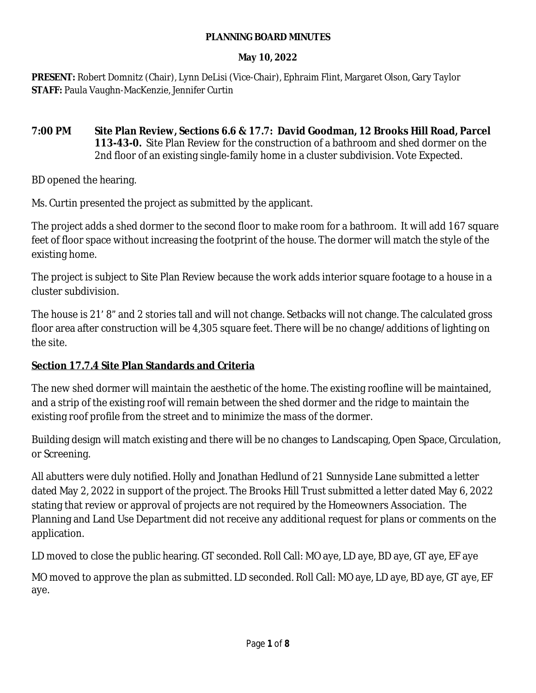#### **PLANNING BOARD MINUTES**

### **May 10, 2022**

**PRESENT:** Robert Domnitz (Chair), Lynn DeLisi (Vice-Chair), Ephraim Flint, Margaret Olson, Gary Taylor **STAFF:** Paula Vaughn-MacKenzie, Jennifer Curtin

**7:00 PM Site Plan Review, Sections 6.6 & 17.7: David Goodman, 12 Brooks Hill Road, Parcel 113-43-0.** Site Plan Review for the construction of a bathroom and shed dormer on the 2nd floor of an existing single-family home in a cluster subdivision. Vote Expected.

BD opened the hearing.

Ms. Curtin presented the project as submitted by the applicant.

The project adds a shed dormer to the second floor to make room for a bathroom. It will add 167 square feet of floor space without increasing the footprint of the house. The dormer will match the style of the existing home.

The project is subject to Site Plan Review because the work adds interior square footage to a house in a cluster subdivision.

The house is 21' 8" and 2 stories tall and will not change. Setbacks will not change. The calculated gross floor area after construction will be 4,305 square feet. There will be no change/additions of lighting on the site.

# **Section 17.7.4 Site Plan Standards and Criteria**

The new shed dormer will maintain the aesthetic of the home. The existing roofline will be maintained, and a strip of the existing roof will remain between the shed dormer and the ridge to maintain the existing roof profile from the street and to minimize the mass of the dormer.

Building design will match existing and there will be no changes to Landscaping, Open Space, Circulation, or Screening.

All abutters were duly notified. Holly and Jonathan Hedlund of 21 Sunnyside Lane submitted a letter dated May 2, 2022 in support of the project. The Brooks Hill Trust submitted a letter dated May 6, 2022 stating that review or approval of projects are not required by the Homeowners Association. The Planning and Land Use Department did not receive any additional request for plans or comments on the application.

LD moved to close the public hearing. GT seconded. Roll Call: MO aye, LD aye, BD aye, GT aye, EF aye

MO moved to approve the plan as submitted. LD seconded. Roll Call: MO aye, LD aye, BD aye, GT aye, EF aye.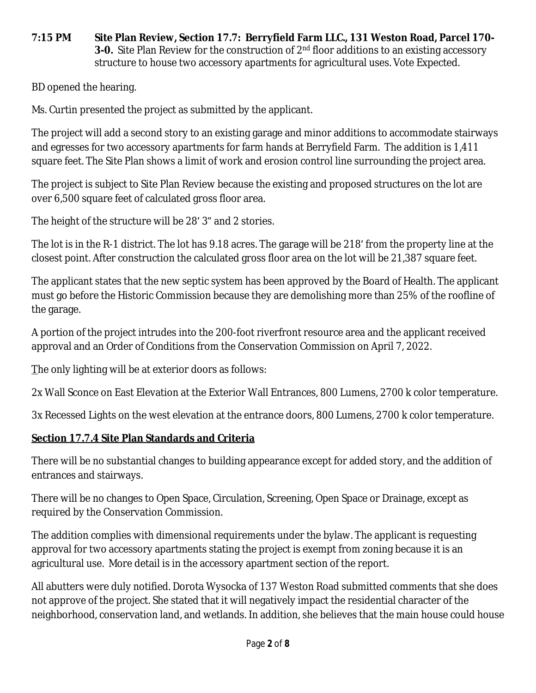#### **7:15 PM Site Plan Review, Section 17.7: Berryfield Farm LLC., 131 Weston Road, Parcel 170- 3-0.** Site Plan Review for the construction of 2<sup>nd</sup> floor additions to an existing accessory structure to house two accessory apartments for agricultural uses. Vote Expected.

BD opened the hearing.

Ms. Curtin presented the project as submitted by the applicant.

The project will add a second story to an existing garage and minor additions to accommodate stairways and egresses for two accessory apartments for farm hands at Berryfield Farm. The addition is 1,411 square feet. The Site Plan shows a limit of work and erosion control line surrounding the project area.

The project is subject to Site Plan Review because the existing and proposed structures on the lot are over 6,500 square feet of calculated gross floor area.

The height of the structure will be 28' 3" and 2 stories.

The lot is in the R-1 district. The lot has 9.18 acres. The garage will be 218' from the property line at the closest point. After construction the calculated gross floor area on the lot will be 21,387 square feet.

The applicant states that the new septic system has been approved by the Board of Health. The applicant must go before the Historic Commission because they are demolishing more than 25% of the roofline of the garage.

A portion of the project intrudes into the 200-foot riverfront resource area and the applicant received approval and an Order of Conditions from the Conservation Commission on April 7, 2022.

The only lighting will be at exterior doors as follows:

2x Wall Sconce on East Elevation at the Exterior Wall Entrances, 800 Lumens, 2700 k color temperature.

3x Recessed Lights on the west elevation at the entrance doors, 800 Lumens, 2700 k color temperature.

## **Section 17.7.4 Site Plan Standards and Criteria**

There will be no substantial changes to building appearance except for added story, and the addition of entrances and stairways.

There will be no changes to Open Space, Circulation, Screening, Open Space or Drainage, except as required by the Conservation Commission.

The addition complies with dimensional requirements under the bylaw. The applicant is requesting approval for two accessory apartments stating the project is exempt from zoning because it is an agricultural use. More detail is in the accessory apartment section of the report.

All abutters were duly notified. Dorota Wysocka of 137 Weston Road submitted comments that she does not approve of the project. She stated that it will negatively impact the residential character of the neighborhood, conservation land, and wetlands. In addition, she believes that the main house could house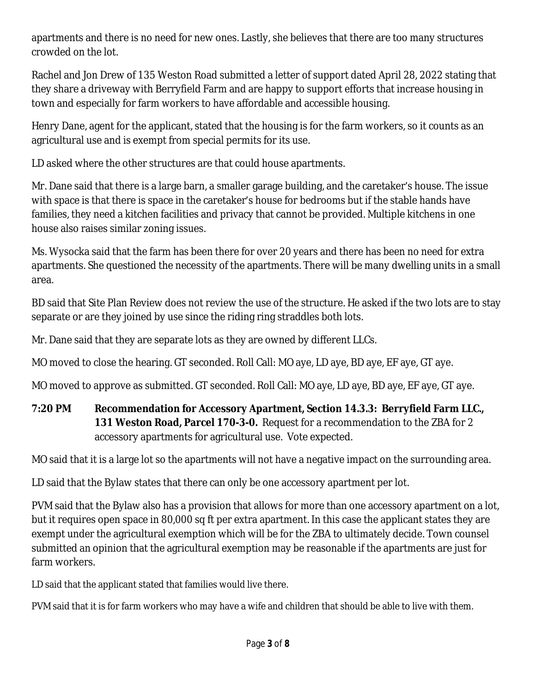apartments and there is no need for new ones. Lastly, she believes that there are too many structures crowded on the lot.

Rachel and Jon Drew of 135 Weston Road submitted a letter of support dated April 28, 2022 stating that they share a driveway with Berryfield Farm and are happy to support efforts that increase housing in town and especially for farm workers to have affordable and accessible housing.

Henry Dane, agent for the applicant, stated that the housing is for the farm workers, so it counts as an agricultural use and is exempt from special permits for its use.

LD asked where the other structures are that could house apartments.

Mr. Dane said that there is a large barn, a smaller garage building, and the caretaker's house. The issue with space is that there is space in the caretaker's house for bedrooms but if the stable hands have families, they need a kitchen facilities and privacy that cannot be provided. Multiple kitchens in one house also raises similar zoning issues.

Ms. Wysocka said that the farm has been there for over 20 years and there has been no need for extra apartments. She questioned the necessity of the apartments. There will be many dwelling units in a small area.

BD said that Site Plan Review does not review the use of the structure. He asked if the two lots are to stay separate or are they joined by use since the riding ring straddles both lots.

Mr. Dane said that they are separate lots as they are owned by different LLCs.

MO moved to close the hearing. GT seconded. Roll Call: MO aye, LD aye, BD aye, EF aye, GT aye.

MO moved to approve as submitted. GT seconded. Roll Call: MO aye, LD aye, BD aye, EF aye, GT aye.

# **7:20 PM Recommendation for Accessory Apartment, Section 14.3.3: Berryfield Farm LLC., 131 Weston Road, Parcel 170-3-0.** Request for a recommendation to the ZBA for 2 accessory apartments for agricultural use. Vote expected.

MO said that it is a large lot so the apartments will not have a negative impact on the surrounding area.

LD said that the Bylaw states that there can only be one accessory apartment per lot.

PVM said that the Bylaw also has a provision that allows for more than one accessory apartment on a lot, but it requires open space in 80,000 sq ft per extra apartment. In this case the applicant states they are exempt under the agricultural exemption which will be for the ZBA to ultimately decide. Town counsel submitted an opinion that the agricultural exemption may be reasonable if the apartments are just for farm workers.

LD said that the applicant stated that families would live there.

PVM said that it is for farm workers who may have a wife and children that should be able to live with them.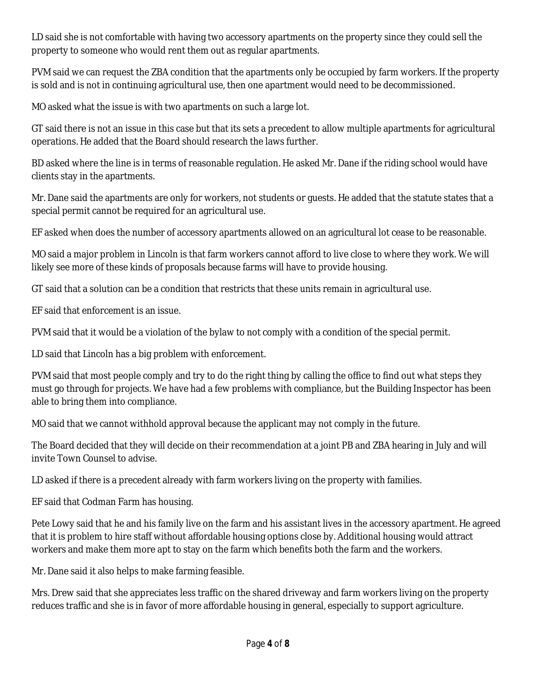LD said she is not comfortable with having two accessory apartments on the property since they could sell the property to someone who would rent them out as regular apartments.

PVM said we can request the ZBA condition that the apartments only be occupied by farm workers. If the property is sold and is not in continuing agricultural use, then one apartment would need to be decommissioned.

MO asked what the issue is with two apartments on such a large lot.

GT said there is not an issue in this case but that its sets a precedent to allow multiple apartments for agricultural operations. He added that the Board should research the laws further.

BD asked where the line is in terms of reasonable regulation. He asked Mr. Dane if the riding school would have clients stay in the apartments.

Mr. Dane said the apartments are only for workers, not students or guests. He added that the statute states that a special permit cannot be required for an agricultural use.

EF asked when does the number of accessory apartments allowed on an agricultural lot cease to be reasonable.

MO said a major problem in Lincoln is that farm workers cannot afford to live close to where they work. We will likely see more of these kinds of proposals because farms will have to provide housing.

GT said that a solution can be a condition that restricts that these units remain in agricultural use.

EF said that enforcement is an issue.

PVM said that it would be a violation of the bylaw to not comply with a condition of the special permit.

LD said that Lincoln has a big problem with enforcement.

PVM said that most people comply and try to do the right thing by calling the office to find out what steps they must go through for projects. We have had a few problems with compliance, but the Building Inspector has been able to bring them into compliance.

MO said that we cannot withhold approval because the applicant may not comply in the future.

The Board decided that they will decide on their recommendation at a joint PB and ZBA hearing in July and will invite Town Counsel to advise.

LD asked if there is a precedent already with farm workers living on the property with families.

EF said that Codman Farm has housing.

Pete Lowy said that he and his family live on the farm and his assistant lives in the accessory apartment. He agreed that it is problem to hire staff without affordable housing options close by. Additional housing would attract workers and make them more apt to stay on the farm which benefits both the farm and the workers.

Mr. Dane said it also helps to make farming feasible.

Mrs. Drew said that she appreciates less traffic on the shared driveway and farm workers living on the property reduces traffic and she is in favor of more affordable housing in general, especially to support agriculture.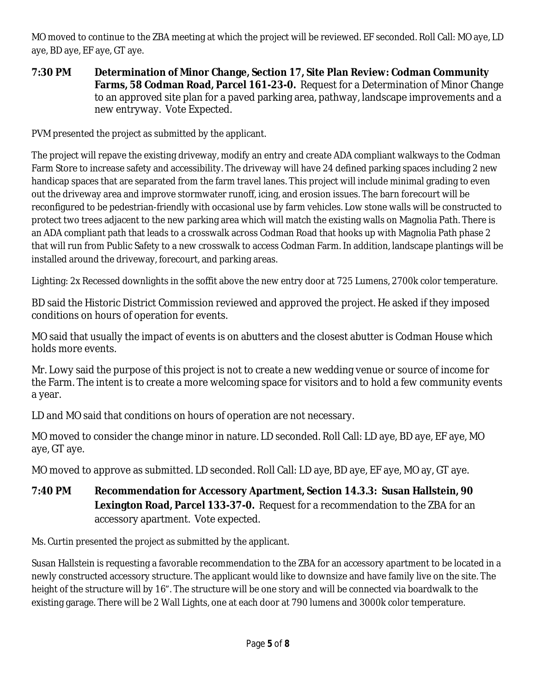MO moved to continue to the ZBA meeting at which the project will be reviewed. EF seconded. Roll Call: MO aye, LD aye, BD aye, EF aye, GT aye.

**7:30 PM Determination of Minor Change, Section 17, Site Plan Review: Codman Community Farms, 58 Codman Road, Parcel 161-23-0.** Request for a Determination of Minor Change to an approved site plan for a paved parking area, pathway, landscape improvements and a new entryway. Vote Expected.

PVM presented the project as submitted by the applicant.

The project will repave the existing driveway, modify an entry and create ADA compliant walkways to the Codman Farm Store to increase safety and accessibility. The driveway will have 24 defined parking spaces including 2 new handicap spaces that are separated from the farm travel lanes. This project will include minimal grading to even out the driveway area and improve stormwater runoff, icing, and erosion issues. The barn forecourt will be reconfigured to be pedestrian-friendly with occasional use by farm vehicles. Low stone walls will be constructed to protect two trees adjacent to the new parking area which will match the existing walls on Magnolia Path. There is an ADA compliant path that leads to a crosswalk across Codman Road that hooks up with Magnolia Path phase 2 that will run from Public Safety to a new crosswalk to access Codman Farm. In addition, landscape plantings will be installed around the driveway, forecourt, and parking areas.

Lighting: 2x Recessed downlights in the soffit above the new entry door at 725 Lumens, 2700k color temperature.

BD said the Historic District Commission reviewed and approved the project. He asked if they imposed conditions on hours of operation for events.

MO said that usually the impact of events is on abutters and the closest abutter is Codman House which holds more events.

Mr. Lowy said the purpose of this project is not to create a new wedding venue or source of income for the Farm. The intent is to create a more welcoming space for visitors and to hold a few community events a year.

LD and MO said that conditions on hours of operation are not necessary.

MO moved to consider the change minor in nature. LD seconded. Roll Call: LD aye, BD aye, EF aye, MO aye, GT aye.

MO moved to approve as submitted. LD seconded. Roll Call: LD aye, BD aye, EF aye, MO ay, GT aye.

**7:40 PM Recommendation for Accessory Apartment, Section 14.3.3: Susan Hallstein, 90 Lexington Road, Parcel 133-37-0.** Request for a recommendation to the ZBA for an accessory apartment. Vote expected.

Ms. Curtin presented the project as submitted by the applicant.

Susan Hallstein is requesting a favorable recommendation to the ZBA for an accessory apartment to be located in a newly constructed accessory structure. The applicant would like to downsize and have family live on the site. The height of the structure will by 16". The structure will be one story and will be connected via boardwalk to the existing garage. There will be 2 Wall Lights, one at each door at 790 lumens and 3000k color temperature.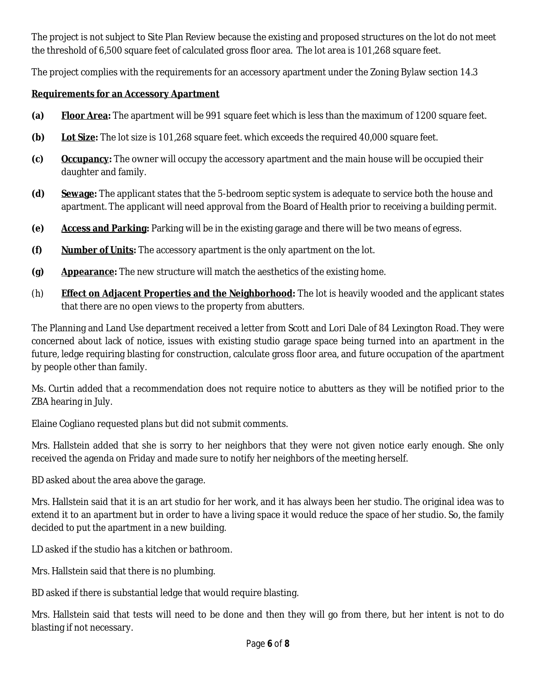The project is not subject to Site Plan Review because the existing and proposed structures on the lot do not meet the threshold of 6,500 square feet of calculated gross floor area. The lot area is 101,268 square feet.

The project complies with the requirements for an accessory apartment under the Zoning Bylaw section 14.3

### **Requirements for an Accessory Apartment**

- **(a) Floor Area:** The apartment will be 991 square feet which is less than the maximum of 1200 square feet.
- **(b) Lot Size:** The lot size is 101,268 square feet. which exceeds the required 40,000 square feet.
- **(c) Occupancy:** The owner will occupy the accessory apartment and the main house will be occupied their daughter and family.
- **(d) Sewage:** The applicant states that the 5-bedroom septic system is adequate to service both the house and apartment. The applicant will need approval from the Board of Health prior to receiving a building permit.
- **(e) Access and Parking:** Parking will be in the existing garage and there will be two means of egress.
- **(f) Number of Units:** The accessory apartment is the only apartment on the lot.
- **(g) Appearance:** The new structure will match the aesthetics of the existing home.
- (h) **Effect on Adjacent Properties and the Neighborhood:** The lot is heavily wooded and the applicant states that there are no open views to the property from abutters.

The Planning and Land Use department received a letter from Scott and Lori Dale of 84 Lexington Road. They were concerned about lack of notice, issues with existing studio garage space being turned into an apartment in the future, ledge requiring blasting for construction, calculate gross floor area, and future occupation of the apartment by people other than family.

Ms. Curtin added that a recommendation does not require notice to abutters as they will be notified prior to the ZBA hearing in July.

Elaine Cogliano requested plans but did not submit comments.

Mrs. Hallstein added that she is sorry to her neighbors that they were not given notice early enough. She only received the agenda on Friday and made sure to notify her neighbors of the meeting herself.

BD asked about the area above the garage.

Mrs. Hallstein said that it is an art studio for her work, and it has always been her studio. The original idea was to extend it to an apartment but in order to have a living space it would reduce the space of her studio. So, the family decided to put the apartment in a new building.

LD asked if the studio has a kitchen or bathroom.

Mrs. Hallstein said that there is no plumbing.

BD asked if there is substantial ledge that would require blasting.

Mrs. Hallstein said that tests will need to be done and then they will go from there, but her intent is not to do blasting if not necessary.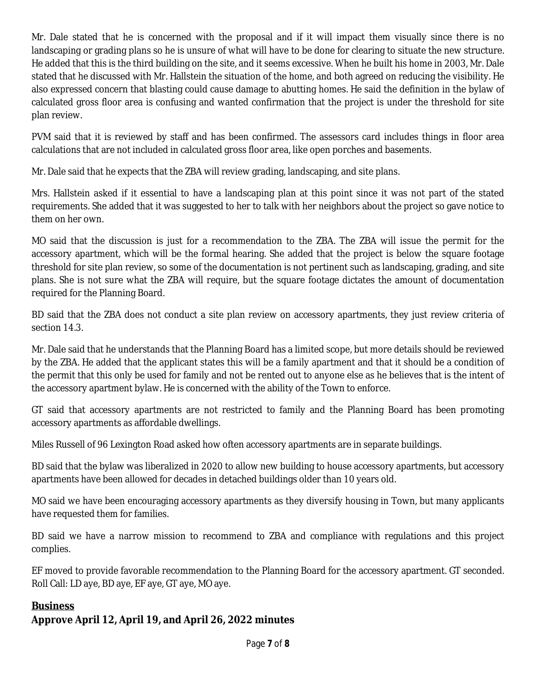Mr. Dale stated that he is concerned with the proposal and if it will impact them visually since there is no landscaping or grading plans so he is unsure of what will have to be done for clearing to situate the new structure. He added that this is the third building on the site, and it seems excessive. When he built his home in 2003, Mr. Dale stated that he discussed with Mr. Hallstein the situation of the home, and both agreed on reducing the visibility. He also expressed concern that blasting could cause damage to abutting homes. He said the definition in the bylaw of calculated gross floor area is confusing and wanted confirmation that the project is under the threshold for site plan review.

PVM said that it is reviewed by staff and has been confirmed. The assessors card includes things in floor area calculations that are not included in calculated gross floor area, like open porches and basements.

Mr. Dale said that he expects that the ZBA will review grading, landscaping, and site plans.

Mrs. Hallstein asked if it essential to have a landscaping plan at this point since it was not part of the stated requirements. She added that it was suggested to her to talk with her neighbors about the project so gave notice to them on her own.

MO said that the discussion is just for a recommendation to the ZBA. The ZBA will issue the permit for the accessory apartment, which will be the formal hearing. She added that the project is below the square footage threshold for site plan review, so some of the documentation is not pertinent such as landscaping, grading, and site plans. She is not sure what the ZBA will require, but the square footage dictates the amount of documentation required for the Planning Board.

BD said that the ZBA does not conduct a site plan review on accessory apartments, they just review criteria of section 14.3.

Mr. Dale said that he understands that the Planning Board has a limited scope, but more details should be reviewed by the ZBA. He added that the applicant states this will be a family apartment and that it should be a condition of the permit that this only be used for family and not be rented out to anyone else as he believes that is the intent of the accessory apartment bylaw. He is concerned with the ability of the Town to enforce.

GT said that accessory apartments are not restricted to family and the Planning Board has been promoting accessory apartments as affordable dwellings.

Miles Russell of 96 Lexington Road asked how often accessory apartments are in separate buildings.

BD said that the bylaw was liberalized in 2020 to allow new building to house accessory apartments, but accessory apartments have been allowed for decades in detached buildings older than 10 years old.

MO said we have been encouraging accessory apartments as they diversify housing in Town, but many applicants have requested them for families.

BD said we have a narrow mission to recommend to ZBA and compliance with regulations and this project complies.

EF moved to provide favorable recommendation to the Planning Board for the accessory apartment. GT seconded. Roll Call: LD aye, BD aye, EF aye, GT aye, MO aye.

## **Business**

# **Approve April 12, April 19, and April 26, 2022 minutes**